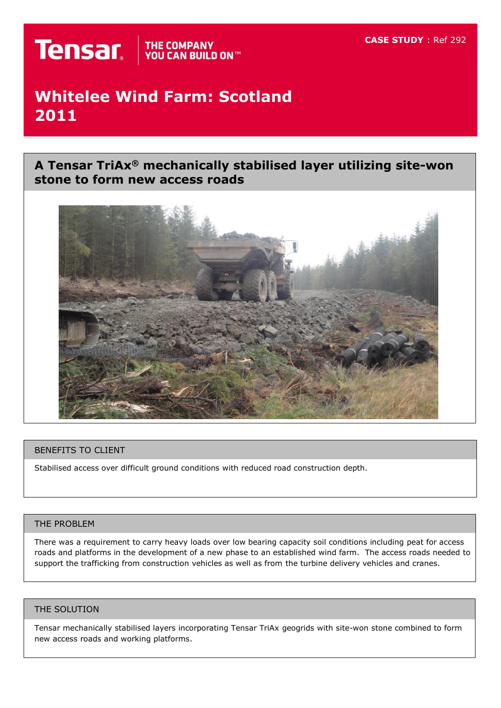# **Whitelee Wind Farm: Scotland 2011**

**A Tensar TriAx® mechanically stabilised layer utilizing site-won stone to form new access roads**



# BENEFITS TO CLIENT

Stabilised access over difficult ground conditions with reduced road construction depth.

# THE PROBLEM

There was a requirement to carry heavy loads over low bearing capacity soil conditions including peat for access roads and platforms in the development of a new phase to an established wind farm. The access roads needed to support the trafficking from construction vehicles as well as from the turbine delivery vehicles and cranes.

#### THE SOLUTION

Tensar mechanically stabilised layers incorporating Tensar TriAx geogrids with site-won stone combined to form new access roads and working platforms.